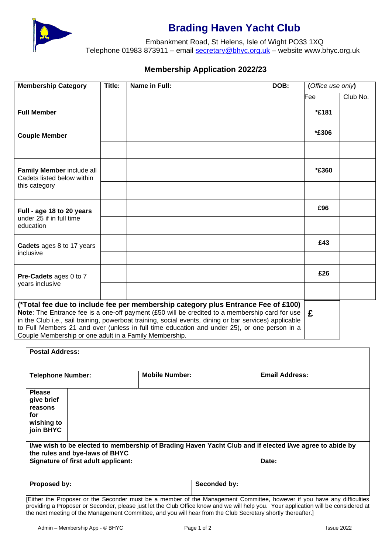

## **Brading Haven Yacht Club**

Embankment Road, St Helens, Isle of Wight PO33 1XQ Telephone 01983 873911 – email [secretary@bhyc.org.uk](mailto:secretary@bhyc.org.uk) – website www.bhyc.org.uk

## **Membership Application 2022/23**

|                                                                                                                                                                                                                                                                                                                                                                                                                                                         | <b>Membership Category</b> | Title: | Name in Full:         | DOB:                  | (Office use only) |          |  |  |
|---------------------------------------------------------------------------------------------------------------------------------------------------------------------------------------------------------------------------------------------------------------------------------------------------------------------------------------------------------------------------------------------------------------------------------------------------------|----------------------------|--------|-----------------------|-----------------------|-------------------|----------|--|--|
|                                                                                                                                                                                                                                                                                                                                                                                                                                                         |                            |        |                       |                       | Fee               | Club No. |  |  |
|                                                                                                                                                                                                                                                                                                                                                                                                                                                         | <b>Full Member</b>         |        |                       |                       | *£181             |          |  |  |
| <b>Couple Member</b>                                                                                                                                                                                                                                                                                                                                                                                                                                    |                            |        |                       |                       | *£306             |          |  |  |
|                                                                                                                                                                                                                                                                                                                                                                                                                                                         |                            |        |                       |                       |                   |          |  |  |
| Family Member include all<br>Cadets listed below within<br>this category                                                                                                                                                                                                                                                                                                                                                                                |                            |        |                       |                       | *£360             |          |  |  |
|                                                                                                                                                                                                                                                                                                                                                                                                                                                         |                            |        |                       |                       |                   |          |  |  |
| Full - age 18 to 20 years<br>under 25 if in full time<br>education                                                                                                                                                                                                                                                                                                                                                                                      |                            |        |                       |                       | £96               |          |  |  |
|                                                                                                                                                                                                                                                                                                                                                                                                                                                         |                            |        |                       |                       |                   |          |  |  |
| Cadets ages 8 to 17 years<br>inclusive                                                                                                                                                                                                                                                                                                                                                                                                                  |                            |        |                       |                       | £43               |          |  |  |
|                                                                                                                                                                                                                                                                                                                                                                                                                                                         |                            |        |                       |                       |                   |          |  |  |
| Pre-Cadets ages 0 to 7<br>years inclusive                                                                                                                                                                                                                                                                                                                                                                                                               |                            |        |                       |                       | £26               |          |  |  |
|                                                                                                                                                                                                                                                                                                                                                                                                                                                         |                            |        |                       |                       |                   |          |  |  |
| (*Total fee due to include fee per membership category plus Entrance Fee of £100)<br>Note: The Entrance fee is a one-off payment (£50 will be credited to a membership card for use<br>in the Club i.e., sail training, powerboat training, social events, dining or bar services) applicable<br>to Full Members 21 and over (unless in full time education and under 25), or one person in a<br>Couple Membership or one adult in a Family Membership. | £                          |        |                       |                       |                   |          |  |  |
| <b>Postal Address:</b>                                                                                                                                                                                                                                                                                                                                                                                                                                  |                            |        |                       |                       |                   |          |  |  |
|                                                                                                                                                                                                                                                                                                                                                                                                                                                         |                            |        |                       |                       |                   |          |  |  |
| <b>Telephone Number:</b>                                                                                                                                                                                                                                                                                                                                                                                                                                |                            |        | <b>Mobile Number:</b> | <b>Email Address:</b> |                   |          |  |  |

| <b>Please</b><br>give brief<br>reasons<br>for<br>wishing to<br>join BHYC                                                                  |                                     |  |              |       |  |  |  |  |  |  |
|-------------------------------------------------------------------------------------------------------------------------------------------|-------------------------------------|--|--------------|-------|--|--|--|--|--|--|
| I/we wish to be elected to membership of Brading Haven Yacht Club and if elected I/we agree to abide by<br>the rules and bye-laws of BHYC |                                     |  |              |       |  |  |  |  |  |  |
|                                                                                                                                           | Signature of first adult applicant: |  |              | Date: |  |  |  |  |  |  |
|                                                                                                                                           |                                     |  |              |       |  |  |  |  |  |  |
| Proposed by:                                                                                                                              |                                     |  | Seconded by: |       |  |  |  |  |  |  |
|                                                                                                                                           |                                     |  |              |       |  |  |  |  |  |  |

[Either the Proposer or the Seconder must be a member of the Management Committee, however if you have any difficulties providing a Proposer or Seconder, please just let the Club Office know and we will help you. Your application will be considered at the next meeting of the Management Committee, and you will hear from the Club Secretary shortly thereafter.]